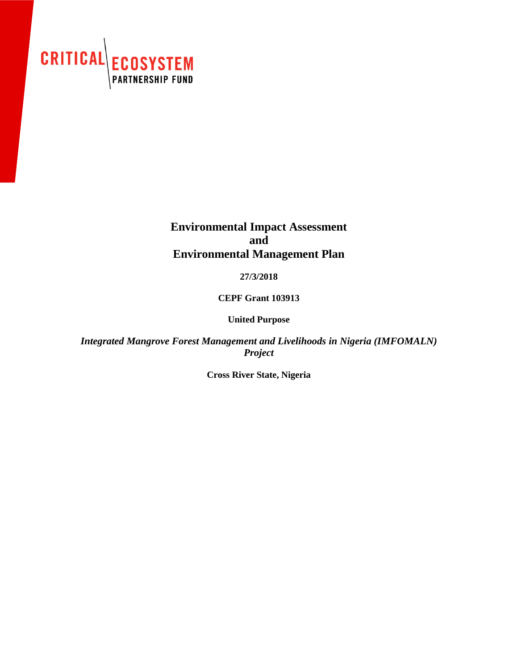

# **Environmental Impact Assessment and Environmental Management Plan**

**27/3/2018**

**CEPF Grant 103913**

**United Purpose**

*Integrated Mangrove Forest Management and Livelihoods in Nigeria (IMFOMALN) Project*

**Cross River State, Nigeria**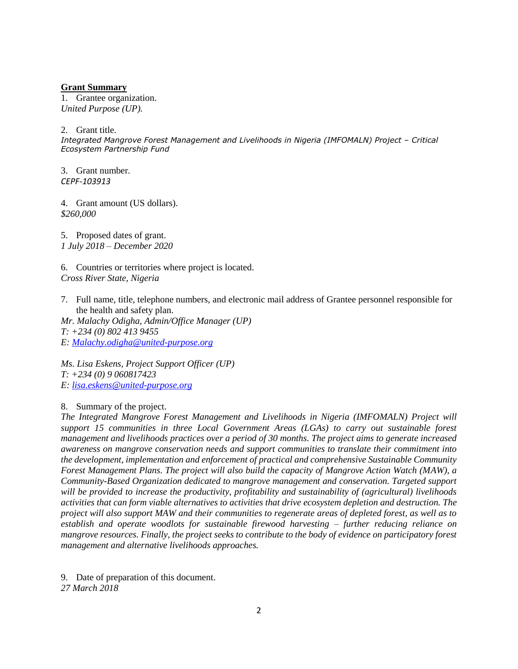#### **Grant Summary**

1. Grantee organization. *United Purpose (UP).*

2. Grant title.

*Integrated Mangrove Forest Management and Livelihoods in Nigeria (IMFOMALN) Project – Critical Ecosystem Partnership Fund*

3. Grant number*. CEPF-103913*

4. Grant amount (US dollars). *\$260,000*

5. Proposed dates of grant. *1 July 2018 – December 2020*

6. Countries or territories where project is located. *Cross River State, Nigeria*

7. Full name, title, telephone numbers, and electronic mail address of Grantee personnel responsible for the health and safety plan.

*Mr. Malachy Odigha, Admin/Office Manager (UP) T: +234 (0) 802 413 9455 E: [Malachy.odigha@united-purpose.org](mailto:Malachy.odigha@united-purpose.org)*

*Ms. Lisa Eskens, Project Support Officer (UP) T: +234 (0) 9 060817423 E: [lisa.eskens@united-purpose.org](mailto:lisa.eskens@united-purpose.org)*

8. Summary of the project.

*The Integrated Mangrove Forest Management and Livelihoods in Nigeria (IMFOMALN) Project will support 15 communities in three Local Government Areas (LGAs) to carry out sustainable forest management and livelihoods practices over a period of 30 months. The project aims to generate increased awareness on mangrove conservation needs and support communities to translate their commitment into the development, implementation and enforcement of practical and comprehensive Sustainable Community Forest Management Plans. The project will also build the capacity of Mangrove Action Watch (MAW), a Community-Based Organization dedicated to mangrove management and conservation. Targeted support will be provided to increase the productivity, profitability and sustainability of (agricultural) livelihoods activities that can form viable alternatives to activities that drive ecosystem depletion and destruction. The project will also support MAW and their communities to regenerate areas of depleted forest, as well as to establish and operate woodlots for sustainable firewood harvesting – further reducing reliance on mangrove resources. Finally, the project seeks to contribute to the body of evidence on participatory forest management and alternative livelihoods approaches.*

9. Date of preparation of this document. *27 March 2018*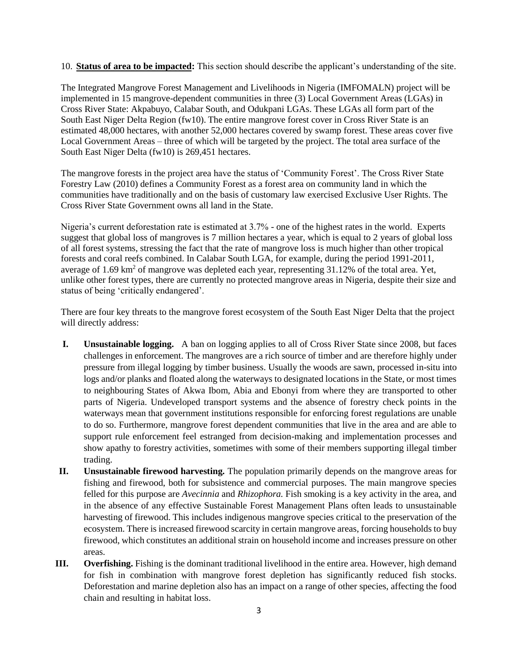10. **Status of area to be impacted:** This section should describe the applicant's understanding of the site.

The Integrated Mangrove Forest Management and Livelihoods in Nigeria (IMFOMALN) project will be implemented in 15 mangrove-dependent communities in three (3) Local Government Areas (LGAs) in Cross River State: Akpabuyo, Calabar South, and Odukpani LGAs. These LGAs all form part of the South East Niger Delta Region (fw10). The entire mangrove forest cover in Cross River State is an estimated 48,000 hectares, with another 52,000 hectares covered by swamp forest. These areas cover five Local Government Areas – three of which will be targeted by the project. The total area surface of the South East Niger Delta (fw10) is 269,451 hectares.

The mangrove forests in the project area have the status of 'Community Forest'. The Cross River State Forestry Law (2010) defines a Community Forest as a forest area on community land in which the communities have traditionally and on the basis of customary law exercised Exclusive User Rights. The Cross River State Government owns all land in the State.

Nigeria's current deforestation rate is estimated at 3.7% - one of the highest rates in the world. Experts suggest that global loss of mangroves is 7 million hectares a year, which is equal to 2 years of global loss of all forest systems, stressing the fact that the rate of mangrove loss is much higher than other tropical forests and coral reefs combined. In Calabar South LGA, for example, during the period 1991-2011, average of 1.69 km<sup>2</sup> of mangrove was depleted each year, representing 31.12% of the total area. Yet, unlike other forest types, there are currently no protected mangrove areas in Nigeria, despite their size and status of being 'critically endangered'.

There are four key threats to the mangrove forest ecosystem of the South East Niger Delta that the project will directly address:

- **I. Unsustainable logging.** A ban on logging applies to all of Cross River State since 2008, but faces challenges in enforcement. The mangroves are a rich source of timber and are therefore highly under pressure from illegal logging by timber business. Usually the woods are sawn, processed in-situ into logs and/or planks and floated along the waterways to designated locations in the State, or most times to neighbouring States of Akwa Ibom, Abia and Ebonyi from where they are transported to other parts of Nigeria. Undeveloped transport systems and the absence of forestry check points in the waterways mean that government institutions responsible for enforcing forest regulations are unable to do so. Furthermore, mangrove forest dependent communities that live in the area and are able to support rule enforcement feel estranged from decision-making and implementation processes and show apathy to forestry activities, sometimes with some of their members supporting illegal timber trading.
- **II. Unsustainable firewood harvesting.** The population primarily depends on the mangrove areas for fishing and firewood, both for subsistence and commercial purposes. The main mangrove species felled for this purpose are *Avecinnia* and *Rhizophora.* Fish smoking is a key activity in the area, and in the absence of any effective Sustainable Forest Management Plans often leads to unsustainable harvesting of firewood. This includes indigenous mangrove species critical to the preservation of the ecosystem. There is increased firewood scarcity in certain mangrove areas, forcing households to buy firewood, which constitutes an additional strain on household income and increases pressure on other areas.
- **III. Overfishing.** Fishing is the dominant traditional livelihood in the entire area. However, high demand for fish in combination with mangrove forest depletion has significantly reduced fish stocks. Deforestation and marine depletion also has an impact on a range of other species, affecting the food chain and resulting in habitat loss.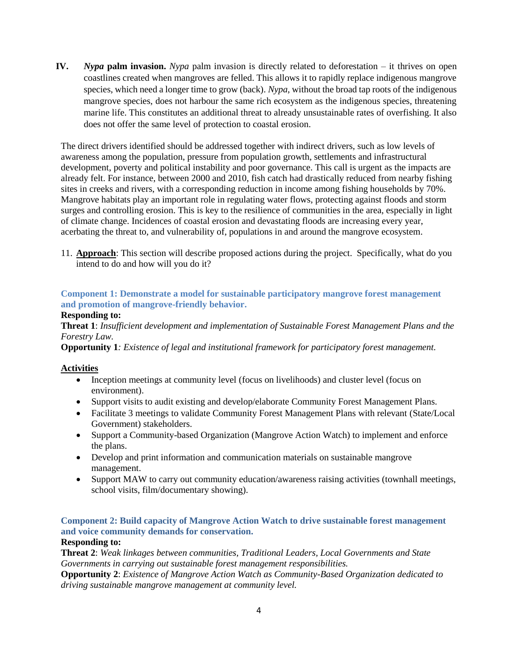**IV.** *Nypa* **palm invasion.** *Nypa* palm invasion is directly related to deforestation – it thrives on open coastlines created when mangroves are felled. This allows it to rapidly replace indigenous mangrove species, which need a longer time to grow (back). *Nypa*, without the broad tap roots of the indigenous mangrove species, does not harbour the same rich ecosystem as the indigenous species, threatening marine life. This constitutes an additional threat to already unsustainable rates of overfishing. It also does not offer the same level of protection to coastal erosion.

The direct drivers identified should be addressed together with indirect drivers, such as low levels of awareness among the population, pressure from population growth, settlements and infrastructural development, poverty and political instability and poor governance. This call is urgent as the impacts are already felt. For instance, between 2000 and 2010, fish catch had drastically reduced from nearby fishing sites in creeks and rivers, with a corresponding reduction in income among fishing households by 70%. Mangrove habitats play an important role in regulating water flows, protecting against floods and storm surges and controlling erosion. This is key to the resilience of communities in the area, especially in light of climate change. Incidences of coastal erosion and devastating floods are increasing every year, acerbating the threat to, and vulnerability of, populations in and around the mangrove ecosystem.

11. **Approach**: This section will describe proposed actions during the project. Specifically, what do you intend to do and how will you do it?

### **Component 1: Demonstrate a model for sustainable participatory mangrove forest management and promotion of mangrove-friendly behavior.**

#### **Responding to:**

**Threat 1**: *Insufficient development and implementation of Sustainable Forest Management Plans and the Forestry Law.*

**Opportunity 1***: Existence of legal and institutional framework for participatory forest management.*

#### **Activities**

- Inception meetings at community level (focus on livelihoods) and cluster level (focus on environment).
- Support visits to audit existing and develop/elaborate Community Forest Management Plans.
- Facilitate 3 meetings to validate Community Forest Management Plans with relevant (State/Local Government) stakeholders.
- Support a Community-based Organization (Mangrove Action Watch) to implement and enforce the plans.
- Develop and print information and communication materials on sustainable mangrove management.
- Support MAW to carry out community education/awareness raising activities (townhall meetings, school visits, film/documentary showing).

## **Component 2: Build capacity of Mangrove Action Watch to drive sustainable forest management and voice community demands for conservation.**

#### **Responding to:**

**Threat 2**: *Weak linkages between communities, Traditional Leaders, Local Governments and State Governments in carrying out sustainable forest management responsibilities.*

**Opportunity 2**: *Existence of Mangrove Action Watch as Community-Based Organization dedicated to driving sustainable mangrove management at community level.*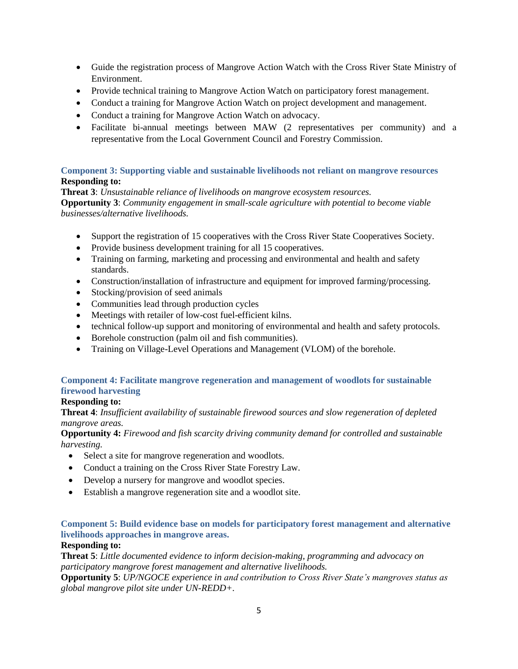- Guide the registration process of Mangrove Action Watch with the Cross River State Ministry of Environment.
- Provide technical training to Mangrove Action Watch on participatory forest management.
- Conduct a training for Mangrove Action Watch on project development and management.
- Conduct a training for Mangrove Action Watch on advocacy.
- Facilitate bi-annual meetings between MAW (2 representatives per community) and a representative from the Local Government Council and Forestry Commission.

#### **Component 3: Supporting viable and sustainable livelihoods not reliant on mangrove resources Responding to:**

**Threat 3**: *Unsustainable reliance of livelihoods on mangrove ecosystem resources.* **Opportunity 3**: *Community engagement in small-scale agriculture with potential to become viable businesses/alternative livelihoods.*

- Support the registration of 15 cooperatives with the Cross River State Cooperatives Society.
- Provide business development training for all 15 cooperatives.
- Training on farming, marketing and processing and environmental and health and safety standards.
- Construction/installation of infrastructure and equipment for improved farming/processing.
- Stocking/provision of seed animals
- Communities lead through production cycles
- Meetings with retailer of low-cost fuel-efficient kilns.
- technical follow-up support and monitoring of environmental and health and safety protocols.
- Borehole construction (palm oil and fish communities).
- Training on Village-Level Operations and Management (VLOM) of the borehole.

#### **Component 4: Facilitate mangrove regeneration and management of woodlots for sustainable firewood harvesting**

#### **Responding to:**

**Threat 4**: *Insufficient availability of sustainable firewood sources and slow regeneration of depleted mangrove areas.*

**Opportunity 4:** *Firewood and fish scarcity driving community demand for controlled and sustainable harvesting.* 

- Select a site for mangrove regeneration and woodlots.
- Conduct a training on the Cross River State Forestry Law.
- Develop a nursery for mangrove and woodlot species.
- Establish a mangrove regeneration site and a woodlot site.

#### **Component 5: Build evidence base on models for participatory forest management and alternative livelihoods approaches in mangrove areas.**

#### **Responding to:**

**Threat 5**: *Little documented evidence to inform decision-making, programming and advocacy on participatory mangrove forest management and alternative livelihoods.*

**Opportunity 5**: *UP/NGOCE experience in and contribution to Cross River State's mangroves status as global mangrove pilot site under UN-REDD+.*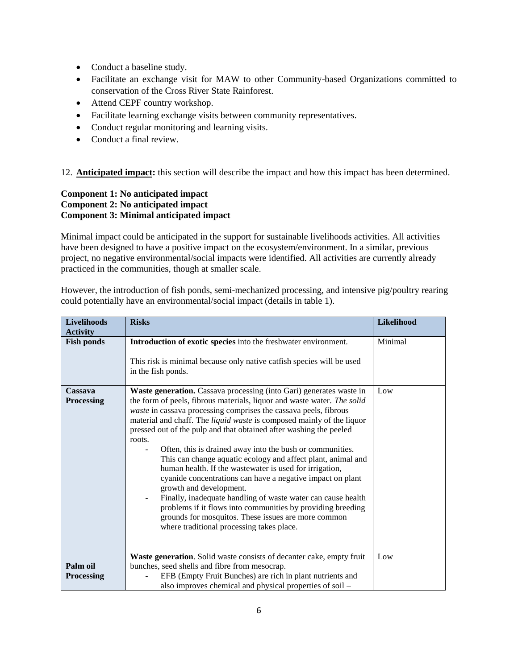- Conduct a baseline study.
- Facilitate an exchange visit for MAW to other Community-based Organizations committed to conservation of the Cross River State Rainforest.
- Attend CEPF country workshop.
- Facilitate learning exchange visits between community representatives.
- Conduct regular monitoring and learning visits.
- Conduct a final review.

12. **Anticipated impact:** this section will describe the impact and how this impact has been determined.

#### **Component 1: No anticipated impact Component 2: No anticipated impact Component 3: Minimal anticipated impact**

Minimal impact could be anticipated in the support for sustainable livelihoods activities. All activities have been designed to have a positive impact on the ecosystem/environment. In a similar, previous project, no negative environmental/social impacts were identified. All activities are currently already practiced in the communities, though at smaller scale.

However, the introduction of fish ponds, semi-mechanized processing, and intensive pig/poultry rearing could potentially have an environmental/social impact (details in table 1).

| <b>Risks</b>                                                                                                                                                                                                                                                                                                                                                                                                                                                                                                                                                                                                                                                                                                                                                                                                                                                                                    | Likelihood                                                                                                                                                                                                                |
|-------------------------------------------------------------------------------------------------------------------------------------------------------------------------------------------------------------------------------------------------------------------------------------------------------------------------------------------------------------------------------------------------------------------------------------------------------------------------------------------------------------------------------------------------------------------------------------------------------------------------------------------------------------------------------------------------------------------------------------------------------------------------------------------------------------------------------------------------------------------------------------------------|---------------------------------------------------------------------------------------------------------------------------------------------------------------------------------------------------------------------------|
|                                                                                                                                                                                                                                                                                                                                                                                                                                                                                                                                                                                                                                                                                                                                                                                                                                                                                                 | Minimal                                                                                                                                                                                                                   |
|                                                                                                                                                                                                                                                                                                                                                                                                                                                                                                                                                                                                                                                                                                                                                                                                                                                                                                 |                                                                                                                                                                                                                           |
| This risk is minimal because only native catfish species will be used                                                                                                                                                                                                                                                                                                                                                                                                                                                                                                                                                                                                                                                                                                                                                                                                                           |                                                                                                                                                                                                                           |
|                                                                                                                                                                                                                                                                                                                                                                                                                                                                                                                                                                                                                                                                                                                                                                                                                                                                                                 |                                                                                                                                                                                                                           |
| Waste generation. Cassava processing (into Gari) generates waste in<br>the form of peels, fibrous materials, liquor and waste water. The solid<br>waste in cassava processing comprises the cassava peels, fibrous<br>material and chaff. The liquid waste is composed mainly of the liquor<br>pressed out of the pulp and that obtained after washing the peeled<br>roots.<br>Often, this is drained away into the bush or communities.<br>This can change aquatic ecology and affect plant, animal and<br>human health. If the wastewater is used for irrigation,<br>cyanide concentrations can have a negative impact on plant<br>growth and development.<br>Finally, inadequate handling of waste water can cause health<br>problems if it flows into communities by providing breeding<br>grounds for mosquitos. These issues are more common<br>where traditional processing takes place. | Low                                                                                                                                                                                                                       |
|                                                                                                                                                                                                                                                                                                                                                                                                                                                                                                                                                                                                                                                                                                                                                                                                                                                                                                 | Low                                                                                                                                                                                                                       |
| bunches, seed shells and fibre from mesocrap.                                                                                                                                                                                                                                                                                                                                                                                                                                                                                                                                                                                                                                                                                                                                                                                                                                                   |                                                                                                                                                                                                                           |
| EFB (Empty Fruit Bunches) are rich in plant nutrients and                                                                                                                                                                                                                                                                                                                                                                                                                                                                                                                                                                                                                                                                                                                                                                                                                                       |                                                                                                                                                                                                                           |
|                                                                                                                                                                                                                                                                                                                                                                                                                                                                                                                                                                                                                                                                                                                                                                                                                                                                                                 | Introduction of exotic species into the freshwater environment.<br>in the fish ponds.<br>Waste generation. Solid waste consists of decanter cake, empty fruit<br>also improves chemical and physical properties of soil - |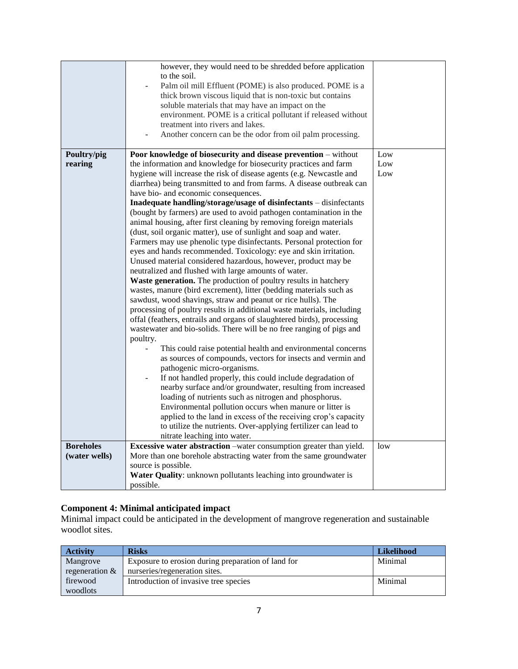|                                   | however, they would need to be shredded before application<br>to the soil.<br>Palm oil mill Effluent (POME) is also produced. POME is a<br>thick brown viscous liquid that is non-toxic but contains<br>soluble materials that may have an impact on the<br>environment. POME is a critical pollutant if released without<br>treatment into rivers and lakes.<br>Another concern can be the odor from oil palm processing.                                                                                                                                                                                                                                                                                                                                                                                                                                                                                                                                                                                                                                                                                                                                                                                                                                                                                                                                                                                                                                                                                                                                                                                                                                                                                                                                                                                                                                                                  |                   |
|-----------------------------------|---------------------------------------------------------------------------------------------------------------------------------------------------------------------------------------------------------------------------------------------------------------------------------------------------------------------------------------------------------------------------------------------------------------------------------------------------------------------------------------------------------------------------------------------------------------------------------------------------------------------------------------------------------------------------------------------------------------------------------------------------------------------------------------------------------------------------------------------------------------------------------------------------------------------------------------------------------------------------------------------------------------------------------------------------------------------------------------------------------------------------------------------------------------------------------------------------------------------------------------------------------------------------------------------------------------------------------------------------------------------------------------------------------------------------------------------------------------------------------------------------------------------------------------------------------------------------------------------------------------------------------------------------------------------------------------------------------------------------------------------------------------------------------------------------------------------------------------------------------------------------------------------|-------------------|
| Poultry/pig<br>rearing            | Poor knowledge of biosecurity and disease prevention - without<br>the information and knowledge for biosecurity practices and farm<br>hygiene will increase the risk of disease agents (e.g. Newcastle and<br>diarrhea) being transmitted to and from farms. A disease outbreak can<br>have bio- and economic consequences.<br>Inadequate handling/storage/usage of disinfectants - disinfectants<br>(bought by farmers) are used to avoid pathogen contamination in the<br>animal housing, after first cleaning by removing foreign materials<br>(dust, soil organic matter), use of sunlight and soap and water.<br>Farmers may use phenolic type disinfectants. Personal protection for<br>eyes and hands recommended. Toxicology: eye and skin irritation.<br>Unused material considered hazardous, however, product may be<br>neutralized and flushed with large amounts of water.<br>Waste generation. The production of poultry results in hatchery<br>wastes, manure (bird excrement), litter (bedding materials such as<br>sawdust, wood shavings, straw and peanut or rice hulls). The<br>processing of poultry results in additional waste materials, including<br>offal (feathers, entrails and organs of slaughtered birds), processing<br>wastewater and bio-solids. There will be no free ranging of pigs and<br>poultry.<br>This could raise potential health and environmental concerns<br>as sources of compounds, vectors for insects and vermin and<br>pathogenic micro-organisms.<br>If not handled properly, this could include degradation of<br>nearby surface and/or groundwater, resulting from increased<br>loading of nutrients such as nitrogen and phosphorus.<br>Environmental pollution occurs when manure or litter is<br>applied to the land in excess of the receiving crop's capacity<br>to utilize the nutrients. Over-applying fertilizer can lead to | Low<br>Low<br>Low |
| <b>Boreholes</b><br>(water wells) | nitrate leaching into water.<br>Excessive water abstraction -water consumption greater than yield.<br>More than one borehole abstracting water from the same groundwater<br>source is possible.<br>Water Quality: unknown pollutants leaching into groundwater is<br>possible.                                                                                                                                                                                                                                                                                                                                                                                                                                                                                                                                                                                                                                                                                                                                                                                                                                                                                                                                                                                                                                                                                                                                                                                                                                                                                                                                                                                                                                                                                                                                                                                                              | low               |

#### **Component 4: Minimal anticipated impact**

Minimal impact could be anticipated in the development of mangrove regeneration and sustainable woodlot sites.

| <b>Activity</b>  | <b>Risks</b>                                       | <b>Likelihood</b> |
|------------------|----------------------------------------------------|-------------------|
| Mangrove         | Exposure to erosion during preparation of land for | Minimal           |
| regeneration $&$ | nurseries/regeneration sites.                      |                   |
| firewood         | Introduction of invasive tree species              | Minimal           |
| woodlots         |                                                    |                   |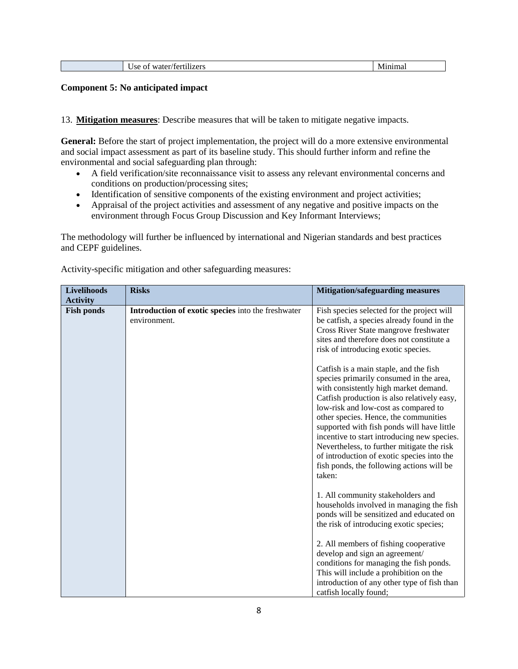#### **Component 5: No anticipated impact**

13. **Mitigation measures**: Describe measures that will be taken to mitigate negative impacts.

General: Before the start of project implementation, the project will do a more extensive environmental and social impact assessment as part of its baseline study. This should further inform and refine the environmental and social safeguarding plan through:

- A field verification/site reconnaissance visit to assess any relevant environmental concerns and conditions on production/processing sites;
- Identification of sensitive components of the existing environment and project activities;
- Appraisal of the project activities and assessment of any negative and positive impacts on the environment through Focus Group Discussion and Key Informant Interviews;

The methodology will further be influenced by international and Nigerian standards and best practices and CEPF guidelines.

| <b>Livelihoods</b><br><b>Activity</b> | <b>Risks</b>                                                       | <b>Mitigation/safeguarding measures</b>                                                                                                                                                                                                                                                                                                                                                                                                                                                                    |
|---------------------------------------|--------------------------------------------------------------------|------------------------------------------------------------------------------------------------------------------------------------------------------------------------------------------------------------------------------------------------------------------------------------------------------------------------------------------------------------------------------------------------------------------------------------------------------------------------------------------------------------|
| <b>Fish ponds</b>                     | Introduction of exotic species into the freshwater<br>environment. | Fish species selected for the project will<br>be catfish, a species already found in the<br>Cross River State mangrove freshwater<br>sites and therefore does not constitute a<br>risk of introducing exotic species.                                                                                                                                                                                                                                                                                      |
|                                       |                                                                    | Catfish is a main staple, and the fish<br>species primarily consumed in the area,<br>with consistently high market demand.<br>Catfish production is also relatively easy,<br>low-risk and low-cost as compared to<br>other species. Hence, the communities<br>supported with fish ponds will have little<br>incentive to start introducing new species.<br>Nevertheless, to further mitigate the risk<br>of introduction of exotic species into the<br>fish ponds, the following actions will be<br>taken: |
|                                       |                                                                    | 1. All community stakeholders and<br>households involved in managing the fish<br>ponds will be sensitized and educated on<br>the risk of introducing exotic species;<br>2. All members of fishing cooperative                                                                                                                                                                                                                                                                                              |
|                                       |                                                                    | develop and sign an agreement/<br>conditions for managing the fish ponds.<br>This will include a prohibition on the<br>introduction of any other type of fish than<br>catfish locally found;                                                                                                                                                                                                                                                                                                               |

Activity-specific mitigation and other safeguarding measures: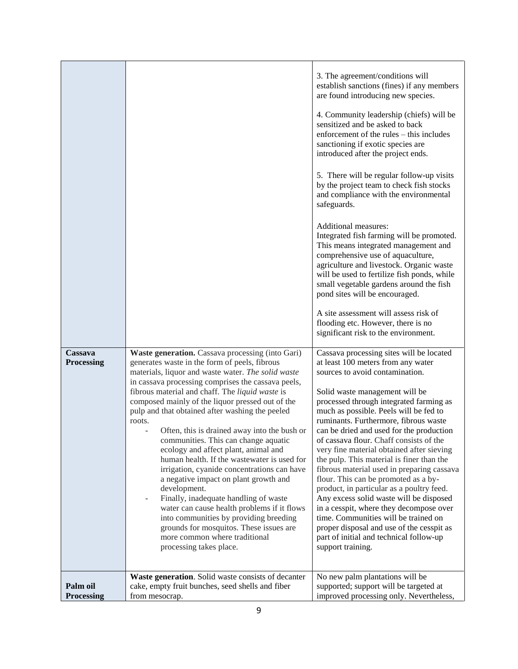|                        |                                                                                                                                                                                                                                                                                                                                                                                                                                                                                                                                                                                                                                                                                                                                                                                                                                                                                                                   | 3. The agreement/conditions will<br>establish sanctions (fines) if any members<br>are found introducing new species.<br>4. Community leadership (chiefs) will be<br>sensitized and be asked to back<br>enforcement of the rules – this includes<br>sanctioning if exotic species are<br>introduced after the project ends.<br>5. There will be regular follow-up visits<br>by the project team to check fish stocks<br>and compliance with the environmental<br>safeguards.<br>Additional measures:<br>Integrated fish farming will be promoted.<br>This means integrated management and<br>comprehensive use of aquaculture,<br>agriculture and livestock. Organic waste<br>will be used to fertilize fish ponds, while<br>small vegetable gardens around the fish<br>pond sites will be encouraged.<br>A site assessment will assess risk of<br>flooding etc. However, there is no<br>significant risk to the environment. |
|------------------------|-------------------------------------------------------------------------------------------------------------------------------------------------------------------------------------------------------------------------------------------------------------------------------------------------------------------------------------------------------------------------------------------------------------------------------------------------------------------------------------------------------------------------------------------------------------------------------------------------------------------------------------------------------------------------------------------------------------------------------------------------------------------------------------------------------------------------------------------------------------------------------------------------------------------|------------------------------------------------------------------------------------------------------------------------------------------------------------------------------------------------------------------------------------------------------------------------------------------------------------------------------------------------------------------------------------------------------------------------------------------------------------------------------------------------------------------------------------------------------------------------------------------------------------------------------------------------------------------------------------------------------------------------------------------------------------------------------------------------------------------------------------------------------------------------------------------------------------------------------|
| Cassava<br>Processing  | Waste generation. Cassava processing (into Gari)<br>generates waste in the form of peels, fibrous<br>materials, liquor and waste water. The solid waste<br>in cassava processing comprises the cassava peels,<br>fibrous material and chaff. The liquid waste is<br>composed mainly of the liquor pressed out of the<br>pulp and that obtained after washing the peeled<br>roots.<br>Often, this is drained away into the bush or<br>communities. This can change aquatic<br>ecology and affect plant, animal and<br>human health. If the wastewater is used for<br>irrigation, cyanide concentrations can have<br>a negative impact on plant growth and<br>development.<br>Finally, inadequate handling of waste<br>water can cause health problems if it flows<br>into communities by providing breeding<br>grounds for mosquitos. These issues are<br>more common where traditional<br>processing takes place. | Cassava processing sites will be located<br>at least 100 meters from any water<br>sources to avoid contamination.<br>Solid waste management will be<br>processed through integrated farming as<br>much as possible. Peels will be fed to<br>ruminants. Furthermore, fibrous waste<br>can be dried and used for the production<br>of cassava flour. Chaff consists of the<br>very fine material obtained after sieving<br>the pulp. This material is finer than the<br>fibrous material used in preparing cassava<br>flour. This can be promoted as a by-<br>product, in particular as a poultry feed.<br>Any excess solid waste will be disposed<br>in a cesspit, where they decompose over<br>time. Communities will be trained on<br>proper disposal and use of the cesspit as<br>part of initial and technical follow-up<br>support training.                                                                             |
| Palm oil<br>Processing | Waste generation. Solid waste consists of decanter<br>cake, empty fruit bunches, seed shells and fiber<br>from mesocrap.                                                                                                                                                                                                                                                                                                                                                                                                                                                                                                                                                                                                                                                                                                                                                                                          | No new palm plantations will be<br>supported; support will be targeted at<br>improved processing only. Nevertheless,                                                                                                                                                                                                                                                                                                                                                                                                                                                                                                                                                                                                                                                                                                                                                                                                         |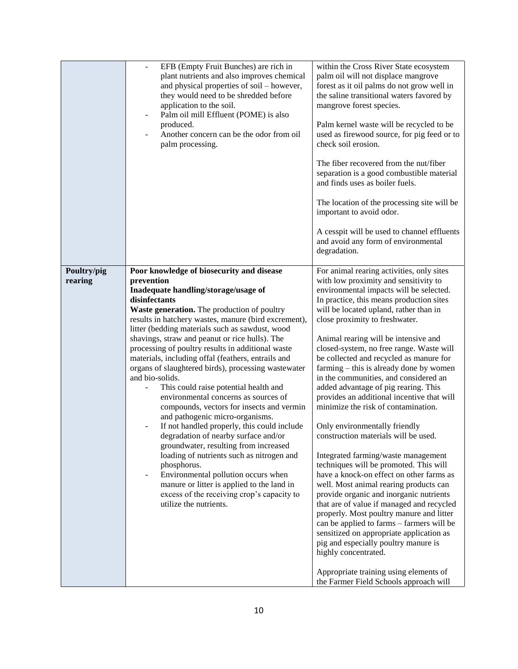|                        | EFB (Empty Fruit Bunches) are rich in<br>plant nutrients and also improves chemical<br>and physical properties of soil – however,<br>they would need to be shredded before<br>application to the soil.<br>Palm oil mill Effluent (POME) is also<br>produced.<br>Another concern can be the odor from oil<br>palm processing.                                                                                                                                                                                                                                                                                                                                                                                                                                                                                                                                                                                                                                                                                                                                            | within the Cross River State ecosystem<br>palm oil will not displace mangrove<br>forest as it oil palms do not grow well in<br>the saline transitional waters favored by<br>mangrove forest species.<br>Palm kernel waste will be recycled to be<br>used as firewood source, for pig feed or to<br>check soil erosion.<br>The fiber recovered from the nut/fiber<br>separation is a good combustible material<br>and finds uses as boiler fuels.<br>The location of the processing site will be<br>important to avoid odor.<br>A cesspit will be used to channel effluents<br>and avoid any form of environmental<br>degradation.                                                                                                                                                                                                                                                                                                                                                                                                                                                                                                                                                                                                      |
|------------------------|-------------------------------------------------------------------------------------------------------------------------------------------------------------------------------------------------------------------------------------------------------------------------------------------------------------------------------------------------------------------------------------------------------------------------------------------------------------------------------------------------------------------------------------------------------------------------------------------------------------------------------------------------------------------------------------------------------------------------------------------------------------------------------------------------------------------------------------------------------------------------------------------------------------------------------------------------------------------------------------------------------------------------------------------------------------------------|----------------------------------------------------------------------------------------------------------------------------------------------------------------------------------------------------------------------------------------------------------------------------------------------------------------------------------------------------------------------------------------------------------------------------------------------------------------------------------------------------------------------------------------------------------------------------------------------------------------------------------------------------------------------------------------------------------------------------------------------------------------------------------------------------------------------------------------------------------------------------------------------------------------------------------------------------------------------------------------------------------------------------------------------------------------------------------------------------------------------------------------------------------------------------------------------------------------------------------------|
| Poultry/pig<br>rearing | Poor knowledge of biosecurity and disease<br>prevention<br>Inadequate handling/storage/usage of<br>disinfectants<br>Waste generation. The production of poultry<br>results in hatchery wastes, manure (bird excrement),<br>litter (bedding materials such as sawdust, wood<br>shavings, straw and peanut or rice hulls). The<br>processing of poultry results in additional waste<br>materials, including offal (feathers, entrails and<br>organs of slaughtered birds), processing wastewater<br>and bio-solids.<br>This could raise potential health and<br>environmental concerns as sources of<br>compounds, vectors for insects and vermin<br>and pathogenic micro-organisms.<br>If not handled properly, this could include<br>degradation of nearby surface and/or<br>groundwater, resulting from increased<br>loading of nutrients such as nitrogen and<br>phosphorus.<br>Environmental pollution occurs when<br>$\overline{\phantom{a}}$<br>manure or litter is applied to the land in<br>excess of the receiving crop's capacity to<br>utilize the nutrients. | For animal rearing activities, only sites<br>with low proximity and sensitivity to<br>environmental impacts will be selected.<br>In practice, this means production sites<br>will be located upland, rather than in<br>close proximity to freshwater.<br>Animal rearing will be intensive and<br>closed-system, no free range. Waste will<br>be collected and recycled as manure for<br>farming – this is already done by women<br>in the communities, and considered an<br>added advantage of pig rearing. This<br>provides an additional incentive that will<br>minimize the risk of contamination.<br>Only environmentally friendly<br>construction materials will be used.<br>Integrated farming/waste management<br>techniques will be promoted. This will<br>have a knock-on effect on other farms as<br>well. Most animal rearing products can<br>provide organic and inorganic nutrients<br>that are of value if managed and recycled<br>properly. Most poultry manure and litter<br>can be applied to farms - farmers will be<br>sensitized on appropriate application as<br>pig and especially poultry manure is<br>highly concentrated.<br>Appropriate training using elements of<br>the Farmer Field Schools approach will |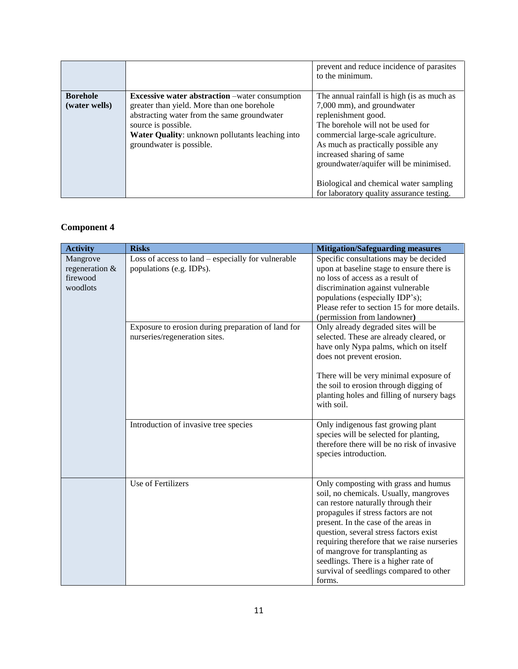|                                  |                                                                                                                                                                                                                                                                  | prevent and reduce incidence of parasites<br>to the minimum.                                                                                                                                                                                                                                                                                                                     |
|----------------------------------|------------------------------------------------------------------------------------------------------------------------------------------------------------------------------------------------------------------------------------------------------------------|----------------------------------------------------------------------------------------------------------------------------------------------------------------------------------------------------------------------------------------------------------------------------------------------------------------------------------------------------------------------------------|
| <b>Borehole</b><br>(water wells) | <b>Excessive water abstraction</b> – water consumption<br>greater than yield. More than one borehole<br>abstracting water from the same groundwater<br>source is possible.<br><b>Water Quality:</b> unknown pollutants leaching into<br>groundwater is possible. | The annual rainfall is high (is as much as<br>7,000 mm), and groundwater<br>replenishment good.<br>The borehole will not be used for<br>commercial large-scale agriculture.<br>As much as practically possible any<br>increased sharing of same<br>groundwater/aquifer will be minimised.<br>Biological and chemical water sampling<br>for laboratory quality assurance testing. |

## **Component 4**

| <b>Activity</b>                                    | <b>Risks</b>                                                                        | <b>Mitigation/Safeguarding measures</b>                                                                                                                                                                                                                                                                                                                                                                                         |
|----------------------------------------------------|-------------------------------------------------------------------------------------|---------------------------------------------------------------------------------------------------------------------------------------------------------------------------------------------------------------------------------------------------------------------------------------------------------------------------------------------------------------------------------------------------------------------------------|
| Mangrove<br>regeneration &<br>firewood<br>woodlots | Loss of access to $land$ – especially for vulnerable<br>populations (e.g. IDPs).    | Specific consultations may be decided<br>upon at baseline stage to ensure there is<br>no loss of access as a result of<br>discrimination against vulnerable<br>populations (especially IDP's);<br>Please refer to section 15 for more details.<br>(permission from landowner)                                                                                                                                                   |
|                                                    | Exposure to erosion during preparation of land for<br>nurseries/regeneration sites. | Only already degraded sites will be<br>selected. These are already cleared, or<br>have only Nypa palms, which on itself<br>does not prevent erosion.<br>There will be very minimal exposure of<br>the soil to erosion through digging of<br>planting holes and filling of nursery bags<br>with soil.                                                                                                                            |
|                                                    | Introduction of invasive tree species                                               | Only indigenous fast growing plant<br>species will be selected for planting,<br>therefore there will be no risk of invasive<br>species introduction.                                                                                                                                                                                                                                                                            |
|                                                    | <b>Use of Fertilizers</b>                                                           | Only composting with grass and humus<br>soil, no chemicals. Usually, mangroves<br>can restore naturally through their<br>propagules if stress factors are not<br>present. In the case of the areas in<br>question, several stress factors exist<br>requiring therefore that we raise nurseries<br>of mangrove for transplanting as<br>seedlings. There is a higher rate of<br>survival of seedlings compared to other<br>forms. |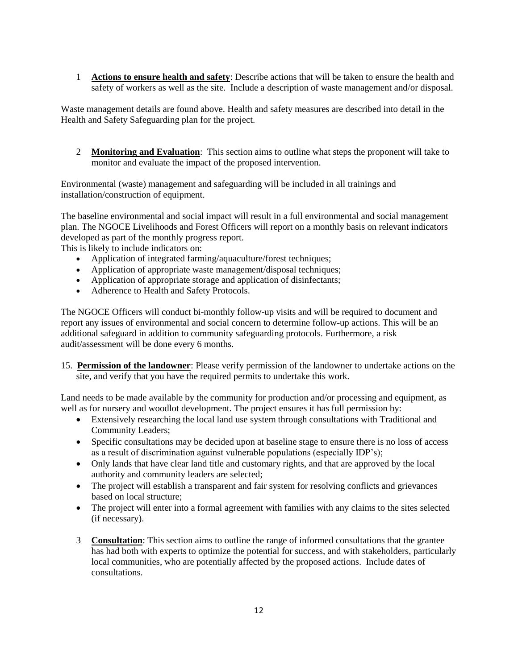1 **Actions to ensure health and safety**: Describe actions that will be taken to ensure the health and safety of workers as well as the site. Include a description of waste management and/or disposal.

Waste management details are found above. Health and safety measures are described into detail in the Health and Safety Safeguarding plan for the project.

2 **Monitoring and Evaluation**: This section aims to outline what steps the proponent will take to monitor and evaluate the impact of the proposed intervention.

Environmental (waste) management and safeguarding will be included in all trainings and installation/construction of equipment.

The baseline environmental and social impact will result in a full environmental and social management plan. The NGOCE Livelihoods and Forest Officers will report on a monthly basis on relevant indicators developed as part of the monthly progress report.

This is likely to include indicators on:

- Application of integrated farming/aquaculture/forest techniques;
- Application of appropriate waste management/disposal techniques;
- Application of appropriate storage and application of disinfectants;
- Adherence to Health and Safety Protocols.

The NGOCE Officers will conduct bi-monthly follow-up visits and will be required to document and report any issues of environmental and social concern to determine follow-up actions. This will be an additional safeguard in addition to community safeguarding protocols. Furthermore, a risk audit/assessment will be done every 6 months.

15. **Permission of the landowner**: Please verify permission of the landowner to undertake actions on the site, and verify that you have the required permits to undertake this work.

Land needs to be made available by the community for production and/or processing and equipment, as well as for nursery and woodlot development. The project ensures it has full permission by:

- Extensively researching the local land use system through consultations with Traditional and Community Leaders;
- Specific consultations may be decided upon at baseline stage to ensure there is no loss of access as a result of discrimination against vulnerable populations (especially IDP's);
- Only lands that have clear land title and customary rights, and that are approved by the local authority and community leaders are selected;
- The project will establish a transparent and fair system for resolving conflicts and grievances based on local structure;
- The project will enter into a formal agreement with families with any claims to the sites selected (if necessary).
- 3 **Consultation**: This section aims to outline the range of informed consultations that the grantee has had both with experts to optimize the potential for success, and with stakeholders, particularly local communities, who are potentially affected by the proposed actions. Include dates of consultations.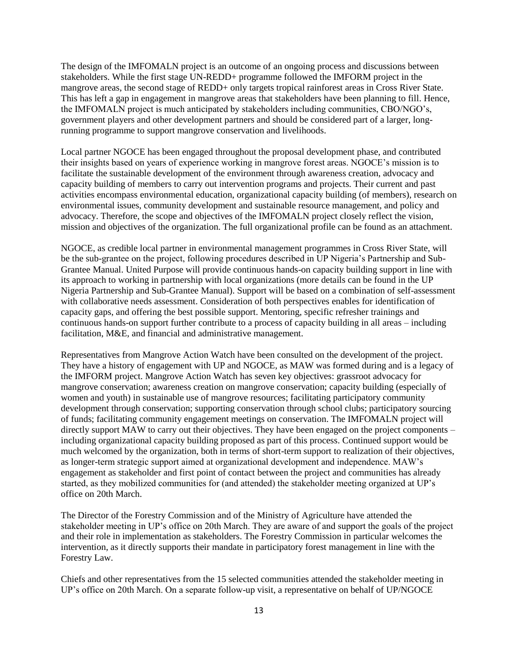The design of the IMFOMALN project is an outcome of an ongoing process and discussions between stakeholders. While the first stage UN-REDD+ programme followed the IMFORM project in the mangrove areas, the second stage of REDD+ only targets tropical rainforest areas in Cross River State. This has left a gap in engagement in mangrove areas that stakeholders have been planning to fill. Hence, the IMFOMALN project is much anticipated by stakeholders including communities, CBO/NGO's, government players and other development partners and should be considered part of a larger, longrunning programme to support mangrove conservation and livelihoods.

Local partner NGOCE has been engaged throughout the proposal development phase, and contributed their insights based on years of experience working in mangrove forest areas. NGOCE's mission is to facilitate the sustainable development of the environment through awareness creation, advocacy and capacity building of members to carry out intervention programs and projects. Their current and past activities encompass environmental education, organizational capacity building (of members), research on environmental issues, community development and sustainable resource management, and policy and advocacy. Therefore, the scope and objectives of the IMFOMALN project closely reflect the vision, mission and objectives of the organization. The full organizational profile can be found as an attachment.

NGOCE, as credible local partner in environmental management programmes in Cross River State, will be the sub-grantee on the project, following procedures described in UP Nigeria's Partnership and Sub-Grantee Manual. United Purpose will provide continuous hands-on capacity building support in line with its approach to working in partnership with local organizations (more details can be found in the UP Nigeria Partnership and Sub-Grantee Manual). Support will be based on a combination of self-assessment with collaborative needs assessment. Consideration of both perspectives enables for identification of capacity gaps, and offering the best possible support. Mentoring, specific refresher trainings and continuous hands-on support further contribute to a process of capacity building in all areas – including facilitation, M&E, and financial and administrative management.

Representatives from Mangrove Action Watch have been consulted on the development of the project. They have a history of engagement with UP and NGOCE, as MAW was formed during and is a legacy of the IMFORM project. Mangrove Action Watch has seven key objectives: grassroot advocacy for mangrove conservation; awareness creation on mangrove conservation; capacity building (especially of women and youth) in sustainable use of mangrove resources; facilitating participatory community development through conservation; supporting conservation through school clubs; participatory sourcing of funds; facilitating community engagement meetings on conservation. The IMFOMALN project will directly support MAW to carry out their objectives. They have been engaged on the project components – including organizational capacity building proposed as part of this process. Continued support would be much welcomed by the organization, both in terms of short-term support to realization of their objectives, as longer-term strategic support aimed at organizational development and independence. MAW's engagement as stakeholder and first point of contact between the project and communities has already started, as they mobilized communities for (and attended) the stakeholder meeting organized at UP's office on 20th March.

The Director of the Forestry Commission and of the Ministry of Agriculture have attended the stakeholder meeting in UP's office on 20th March. They are aware of and support the goals of the project and their role in implementation as stakeholders. The Forestry Commission in particular welcomes the intervention, as it directly supports their mandate in participatory forest management in line with the Forestry Law.

Chiefs and other representatives from the 15 selected communities attended the stakeholder meeting in UP's office on 20th March. On a separate follow-up visit, a representative on behalf of UP/NGOCE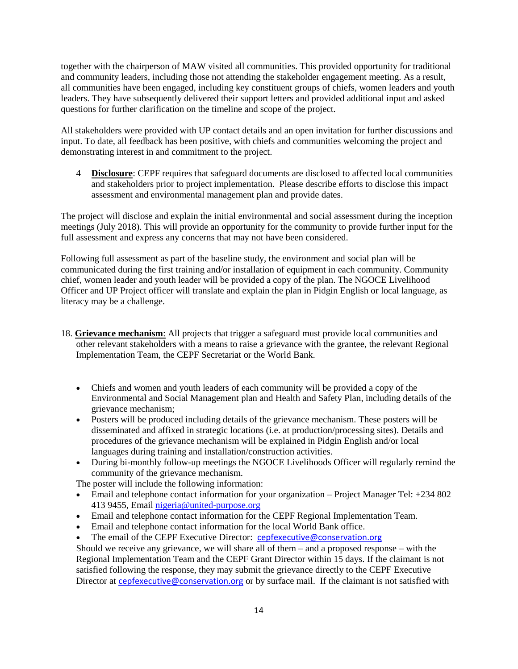together with the chairperson of MAW visited all communities. This provided opportunity for traditional and community leaders, including those not attending the stakeholder engagement meeting. As a result, all communities have been engaged, including key constituent groups of chiefs, women leaders and youth leaders. They have subsequently delivered their support letters and provided additional input and asked questions for further clarification on the timeline and scope of the project.

All stakeholders were provided with UP contact details and an open invitation for further discussions and input. To date, all feedback has been positive, with chiefs and communities welcoming the project and demonstrating interest in and commitment to the project.

4 **Disclosure**: CEPF requires that safeguard documents are disclosed to affected local communities and stakeholders prior to project implementation. Please describe efforts to disclose this impact assessment and environmental management plan and provide dates.

The project will disclose and explain the initial environmental and social assessment during the inception meetings (July 2018). This will provide an opportunity for the community to provide further input for the full assessment and express any concerns that may not have been considered.

Following full assessment as part of the baseline study, the environment and social plan will be communicated during the first training and/or installation of equipment in each community. Community chief, women leader and youth leader will be provided a copy of the plan. The NGOCE Livelihood Officer and UP Project officer will translate and explain the plan in Pidgin English or local language, as literacy may be a challenge.

- 18. **Grievance mechanism**: All projects that trigger a safeguard must provide local communities and other relevant stakeholders with a means to raise a grievance with the grantee, the relevant Regional Implementation Team, the CEPF Secretariat or the World Bank.
	- Chiefs and women and youth leaders of each community will be provided a copy of the Environmental and Social Management plan and Health and Safety Plan, including details of the grievance mechanism;
	- Posters will be produced including details of the grievance mechanism. These posters will be disseminated and affixed in strategic locations (i.e. at production/processing sites). Details and procedures of the grievance mechanism will be explained in Pidgin English and/or local languages during training and installation/construction activities.
	- During bi-monthly follow-up meetings the NGOCE Livelihoods Officer will regularly remind the community of the grievance mechanism.

The poster will include the following information:

- Email and telephone contact information for your organization Project Manager Tel: +234 802 413 9455, Email [nigeria@united-purpose.org](mailto:nigeria@united-purpose.org)
- Email and telephone contact information for the CEPF Regional Implementation Team.
- Email and telephone contact information for the local World Bank office.
- The email of the CEPF Executive Director: [cepfexecutive@conservation.org](mailto:cepfexecutive@conservation.org)

Should we receive any grievance, we will share all of them  $-$  and a proposed response  $-$  with the Regional Implementation Team and the CEPF Grant Director within 15 days. If the claimant is not satisfied following the response, they may submit the grievance directly to the CEPF Executive Director at [cepfexecutive@conservation.org](mailto:cepfexecutive@conservation.org) or by surface mail. If the claimant is not satisfied with